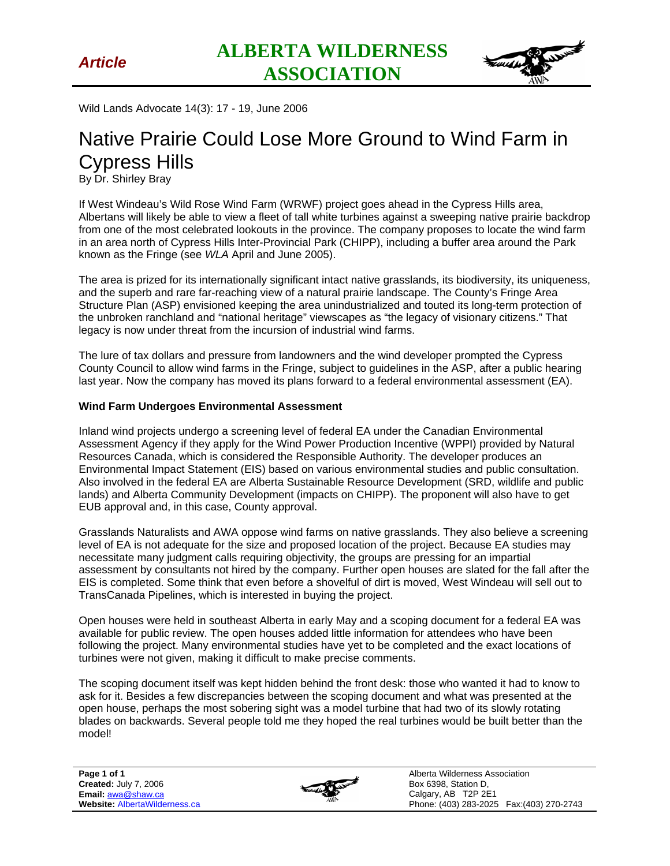

Wild Lands Advocate 14(3): 17 - 19, June 2006

## Native Prairie Could Lose More Ground to Wind Farm in Cypress Hills

By Dr. Shirley Bray

If West Windeau's Wild Rose Wind Farm (WRWF) project goes ahead in the Cypress Hills area, Albertans will likely be able to view a fleet of tall white turbines against a sweeping native prairie backdrop from one of the most celebrated lookouts in the province. The company proposes to locate the wind farm in an area north of Cypress Hills Inter-Provincial Park (CHIPP), including a buffer area around the Park known as the Fringe (see *WLA* April and June 2005).

The area is prized for its internationally significant intact native grasslands, its biodiversity, its uniqueness, and the superb and rare far-reaching view of a natural prairie landscape. The County's Fringe Area Structure Plan (ASP) envisioned keeping the area unindustrialized and touted its long-term protection of the unbroken ranchland and "national heritage" viewscapes as "the legacy of visionary citizens." That legacy is now under threat from the incursion of industrial wind farms.

The lure of tax dollars and pressure from landowners and the wind developer prompted the Cypress County Council to allow wind farms in the Fringe, subject to guidelines in the ASP, after a public hearing last year. Now the company has moved its plans forward to a federal environmental assessment (EA).

## **Wind Farm Undergoes Environmental Assessment**

Inland wind projects undergo a screening level of federal EA under the Canadian Environmental Assessment Agency if they apply for the Wind Power Production Incentive (WPPI) provided by Natural Resources Canada, which is considered the Responsible Authority. The developer produces an Environmental Impact Statement (EIS) based on various environmental studies and public consultation. Also involved in the federal EA are Alberta Sustainable Resource Development (SRD, wildlife and public lands) and Alberta Community Development (impacts on CHIPP). The proponent will also have to get EUB approval and, in this case, County approval.

Grasslands Naturalists and AWA oppose wind farms on native grasslands. They also believe a screening level of EA is not adequate for the size and proposed location of the project. Because EA studies may necessitate many judgment calls requiring objectivity, the groups are pressing for an impartial assessment by consultants not hired by the company. Further open houses are slated for the fall after the EIS is completed. Some think that even before a shovelful of dirt is moved, West Windeau will sell out to TransCanada Pipelines, which is interested in buying the project.

Open houses were held in southeast Alberta in early May and a scoping document for a federal EA was available for public review. The open houses added little information for attendees who have been following the project. Many environmental studies have yet to be completed and the exact locations of turbines were not given, making it difficult to make precise comments.

The scoping document itself was kept hidden behind the front desk: those who wanted it had to know to ask for it. Besides a few discrepancies between the scoping document and what was presented at the open house, perhaps the most sobering sight was a model turbine that had two of its slowly rotating blades on backwards. Several people told me they hoped the real turbines would be built better than the model!

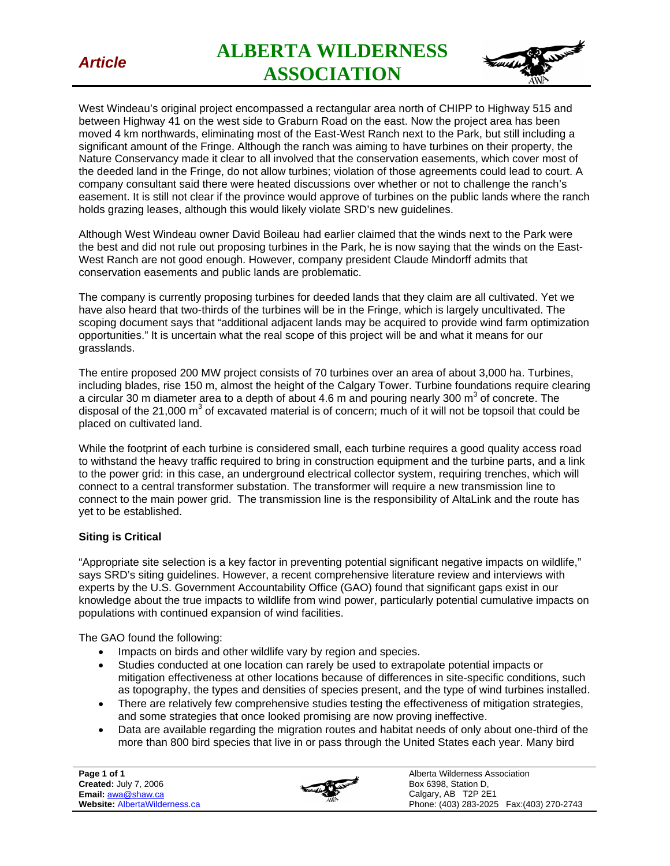

*Article* **ALBERTA WILDERNESS ASSOCIATION** 



West Windeau's original project encompassed a rectangular area north of CHIPP to Highway 515 and between Highway 41 on the west side to Graburn Road on the east. Now the project area has been moved 4 km northwards, eliminating most of the East-West Ranch next to the Park, but still including a significant amount of the Fringe. Although the ranch was aiming to have turbines on their property, the Nature Conservancy made it clear to all involved that the conservation easements, which cover most of the deeded land in the Fringe, do not allow turbines; violation of those agreements could lead to court. A company consultant said there were heated discussions over whether or not to challenge the ranch's easement. It is still not clear if the province would approve of turbines on the public lands where the ranch holds grazing leases, although this would likely violate SRD's new guidelines.

Although West Windeau owner David Boileau had earlier claimed that the winds next to the Park were the best and did not rule out proposing turbines in the Park, he is now saying that the winds on the East-West Ranch are not good enough. However, company president Claude Mindorff admits that conservation easements and public lands are problematic.

The company is currently proposing turbines for deeded lands that they claim are all cultivated. Yet we have also heard that two-thirds of the turbines will be in the Fringe, which is largely uncultivated. The scoping document says that "additional adjacent lands may be acquired to provide wind farm optimization opportunities." It is uncertain what the real scope of this project will be and what it means for our grasslands.

The entire proposed 200 MW project consists of 70 turbines over an area of about 3,000 ha. Turbines, including blades, rise 150 m, almost the height of the Calgary Tower. Turbine foundations require clearing a circular 30 m diameter area to a depth of about 4.6 m and pouring nearly 300 m<sup>3</sup> of concrete. The disposal of the 21,000 m<sup>3</sup> of excavated material is of concern; much of it will not be topsoil that could be placed on cultivated land.

While the footprint of each turbine is considered small, each turbine requires a good quality access road to withstand the heavy traffic required to bring in construction equipment and the turbine parts, and a link to the power grid: in this case, an underground electrical collector system, requiring trenches, which will connect to a central transformer substation. The transformer will require a new transmission line to connect to the main power grid. The transmission line is the responsibility of AltaLink and the route has yet to be established.

## **Siting is Critical**

"Appropriate site selection is a key factor in preventing potential significant negative impacts on wildlife," says SRD's siting guidelines. However, a recent comprehensive literature review and interviews with experts by the U.S. Government Accountability Office (GAO) found that significant gaps exist in our knowledge about the true impacts to wildlife from wind power, particularly potential cumulative impacts on populations with continued expansion of wind facilities.

The GAO found the following:

- Impacts on birds and other wildlife vary by region and species.
- Studies conducted at one location can rarely be used to extrapolate potential impacts or mitigation effectiveness at other locations because of differences in site-specific conditions, such as topography, the types and densities of species present, and the type of wind turbines installed.
- There are relatively few comprehensive studies testing the effectiveness of mitigation strategies, and some strategies that once looked promising are now proving ineffective.
- Data are available regarding the migration routes and habitat needs of only about one-third of the more than 800 bird species that live in or pass through the United States each year. Many bird

**Page 1 of 1 Created:** July 7, 2006 **Email:** awa@shaw.ca **Website:** AlbertaWilderness.ca



Alberta Wilderness Association Box 6398, Station D, Calgary, AB T2P 2E1 Phone: (403) 283-2025 Fax:(403) 270-2743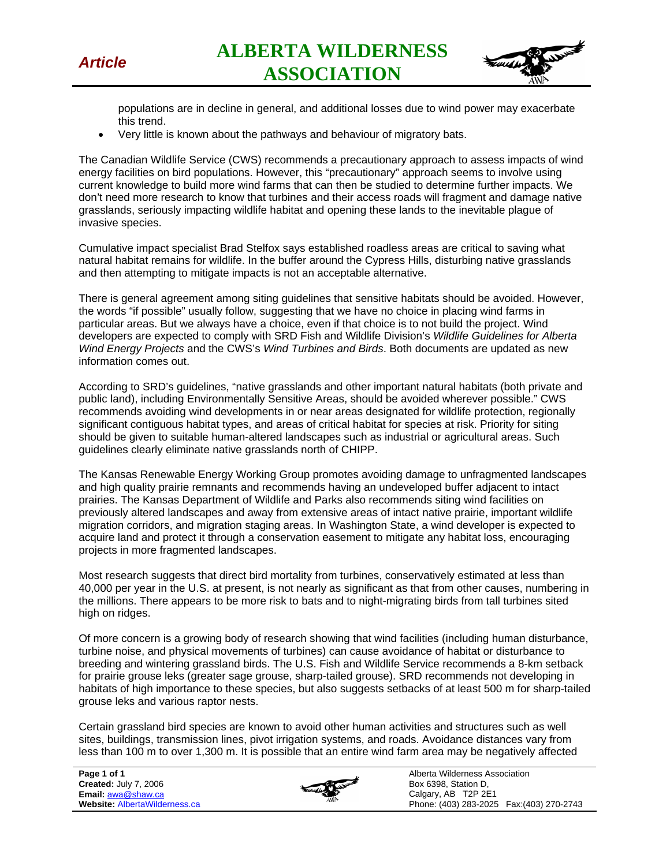

*Article* **ALBERTA WILDERNESS ASSOCIATION** 



populations are in decline in general, and additional losses due to wind power may exacerbate this trend.

• Very little is known about the pathways and behaviour of migratory bats.

The Canadian Wildlife Service (CWS) recommends a precautionary approach to assess impacts of wind energy facilities on bird populations. However, this "precautionary" approach seems to involve using current knowledge to build more wind farms that can then be studied to determine further impacts. We don't need more research to know that turbines and their access roads will fragment and damage native grasslands, seriously impacting wildlife habitat and opening these lands to the inevitable plague of invasive species.

Cumulative impact specialist Brad Stelfox says established roadless areas are critical to saving what natural habitat remains for wildlife. In the buffer around the Cypress Hills, disturbing native grasslands and then attempting to mitigate impacts is not an acceptable alternative.

There is general agreement among siting guidelines that sensitive habitats should be avoided. However, the words "if possible" usually follow, suggesting that we have no choice in placing wind farms in particular areas. But we always have a choice, even if that choice is to not build the project. Wind developers are expected to comply with SRD Fish and Wildlife Division's *Wildlife Guidelines for Alberta Wind Energy Projects* and the CWS's *Wind Turbines and Birds*. Both documents are updated as new information comes out.

According to SRD's guidelines, "native grasslands and other important natural habitats (both private and public land), including Environmentally Sensitive Areas, should be avoided wherever possible." CWS recommends avoiding wind developments in or near areas designated for wildlife protection, regionally significant contiguous habitat types, and areas of critical habitat for species at risk. Priority for siting should be given to suitable human-altered landscapes such as industrial or agricultural areas. Such guidelines clearly eliminate native grasslands north of CHIPP.

The Kansas Renewable Energy Working Group promotes avoiding damage to unfragmented landscapes and high quality prairie remnants and recommends having an undeveloped buffer adjacent to intact prairies. The Kansas Department of Wildlife and Parks also recommends siting wind facilities on previously altered landscapes and away from extensive areas of intact native prairie, important wildlife migration corridors, and migration staging areas. In Washington State, a wind developer is expected to acquire land and protect it through a conservation easement to mitigate any habitat loss, encouraging projects in more fragmented landscapes.

Most research suggests that direct bird mortality from turbines, conservatively estimated at less than 40,000 per year in the U.S. at present, is not nearly as significant as that from other causes, numbering in the millions. There appears to be more risk to bats and to night-migrating birds from tall turbines sited high on ridges.

Of more concern is a growing body of research showing that wind facilities (including human disturbance, turbine noise, and physical movements of turbines) can cause avoidance of habitat or disturbance to breeding and wintering grassland birds. The U.S. Fish and Wildlife Service recommends a 8-km setback for prairie grouse leks (greater sage grouse, sharp-tailed grouse). SRD recommends not developing in habitats of high importance to these species, but also suggests setbacks of at least 500 m for sharp-tailed grouse leks and various raptor nests.

Certain grassland bird species are known to avoid other human activities and structures such as well sites, buildings, transmission lines, pivot irrigation systems, and roads. Avoidance distances vary from less than 100 m to over 1,300 m. It is possible that an entire wind farm area may be negatively affected

**Page 1 of 1 Created:** July 7, 2006 **Email:** awa@shaw.ca **Website:** AlbertaWilderness.ca



Alberta Wilderness Association Box 6398, Station D, Calgary, AB T2P 2E1 Phone: (403) 283-2025 Fax:(403) 270-2743